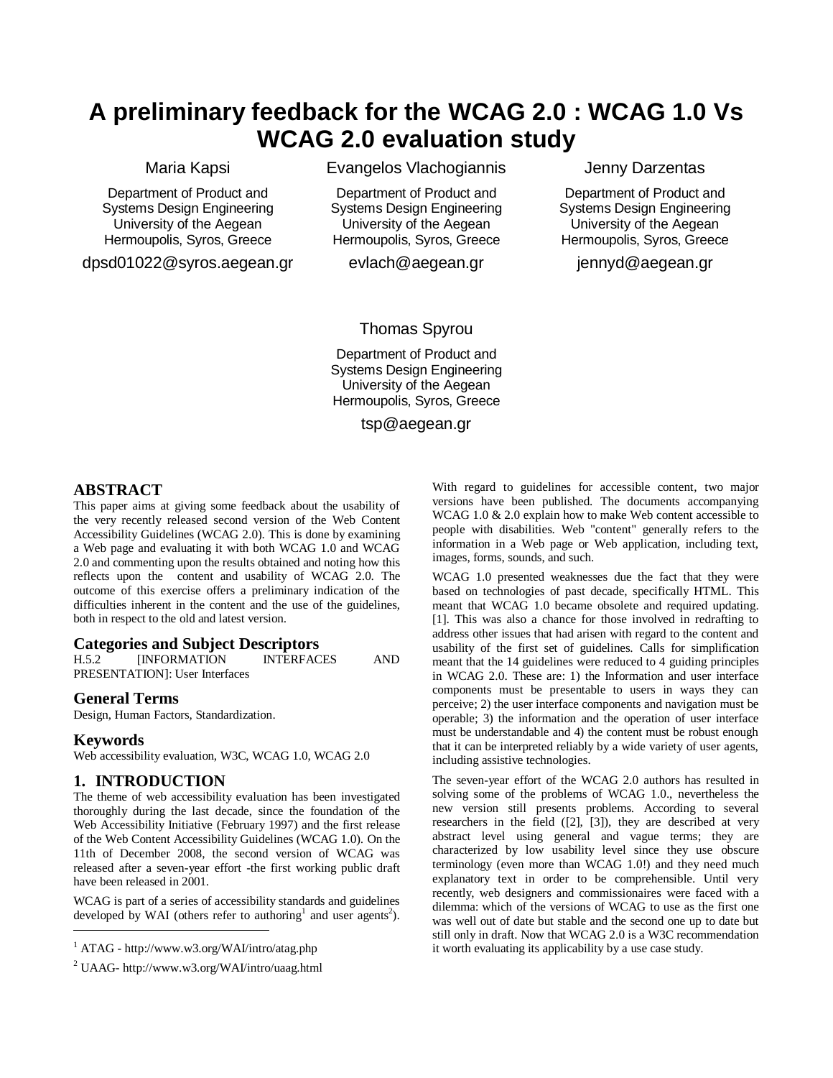## **A preliminary feedback for the WCAG 2.0 : WCAG 1.0 Vs WCAG 2.0 evaluation study**

## Maria Kapsi

Department of Product and Systems Design Engineering University of the Aegean Hermoupolis, Syros, Greece

dpsd01022@syros.aegean.gr

Evangelos Vlachogiannis

Department of Product and Systems Design Engineering University of the Aegean Hermoupolis, Syros, Greece

evlach@aegean.gr

Jenny Darzentas

Department of Product and Systems Design Engineering University of the Aegean Hermoupolis, Syros, Greece

jennyd@aegean.gr

## Thomas Spyrou

Department of Product and Systems Design Engineering University of the Aegean Hermoupolis, Syros, Greece

tsp@aegean.gr

## **ABSTRACT**

This paper aims at giving some feedback about the usability of the very recently released second version of the Web Content Accessibility Guidelines (WCAG 2.0). This is done by examining a Web page and evaluating it with both WCAG 1.0 and WCAG 2.0 and commenting upon the results obtained and noting how this reflects upon the content and usability of WCAG 2.0. The outcome of this exercise offers a preliminary indication of the difficulties inherent in the content and the use of the guidelines, both in respect to the old and latest version.

# **Categories and Subject Descriptors**<br>**H.5.2 INFORMATION INTERFACES**

INFORMATION INTERFACES AND PRESENTATION]: User Interfaces

#### **General Terms**

Design, Human Factors, Standardization.

#### **Keywords**

Web accessibility evaluation, W3C, WCAG 1.0, WCAG 2.0

#### **1. INTRODUCTION**

The theme of web accessibility evaluation has been investigated thoroughly during the last decade, since the foundation of the Web Accessibility Initiative (February 1997) and the first release of the Web Content Accessibility Guidelines (WCAG 1.0). On the 11th of December 2008, the second version of WCAG was released after a seven-year effort -the first working public draft have been released in 2001.

WCAG is part of a series of accessibility standards and guidelines developed by WAI (others refer to authoring<sup>1</sup> and user agents<sup>2</sup>). l

With regard to guidelines for accessible content, two major versions have been published. The documents accompanying WCAG 1.0 & 2.0 explain how to make Web content accessible to people with disabilities. Web "content" generally refers to the information in a Web page or Web application, including text, images, forms, sounds, and such.

WCAG 1.0 presented weaknesses due the fact that they were based on technologies of past decade, specifically HTML. This meant that WCAG 1.0 became obsolete and required updating. [1]. This was also a chance for those involved in redrafting to address other issues that had arisen with regard to the content and usability of the first set of guidelines. Calls for simplification meant that the 14 guidelines were reduced to 4 guiding principles in WCAG 2.0. These are: 1) the Information and user interface components must be presentable to users in ways they can perceive; 2) the user interface components and navigation must be operable; 3) the information and the operation of user interface must be understandable and 4) the content must be robust enough that it can be interpreted reliably by a wide variety of user agents, including assistive technologies.

The seven-year effort of the WCAG 2.0 authors has resulted in solving some of the problems of WCAG 1.0., nevertheless the new version still presents problems. According to several researchers in the field ([2], [3]), they are described at very abstract level using general and vague terms; they are characterized by low usability level since they use obscure terminology (even more than WCAG 1.0!) and they need much explanatory text in order to be comprehensible. Until very recently, web designers and commissionaires were faced with a dilemma: which of the versions of WCAG to use as the first one was well out of date but stable and the second one up to date but still only in draft. Now that WCAG 2.0 is a W3C recommendation it worth evaluating its applicability by a use case study.

 $1$  ATAG - http://www.w3.org/WAI/intro/atag.php

<sup>2</sup> UAAG- http://www.w3.org/WAI/intro/uaag.html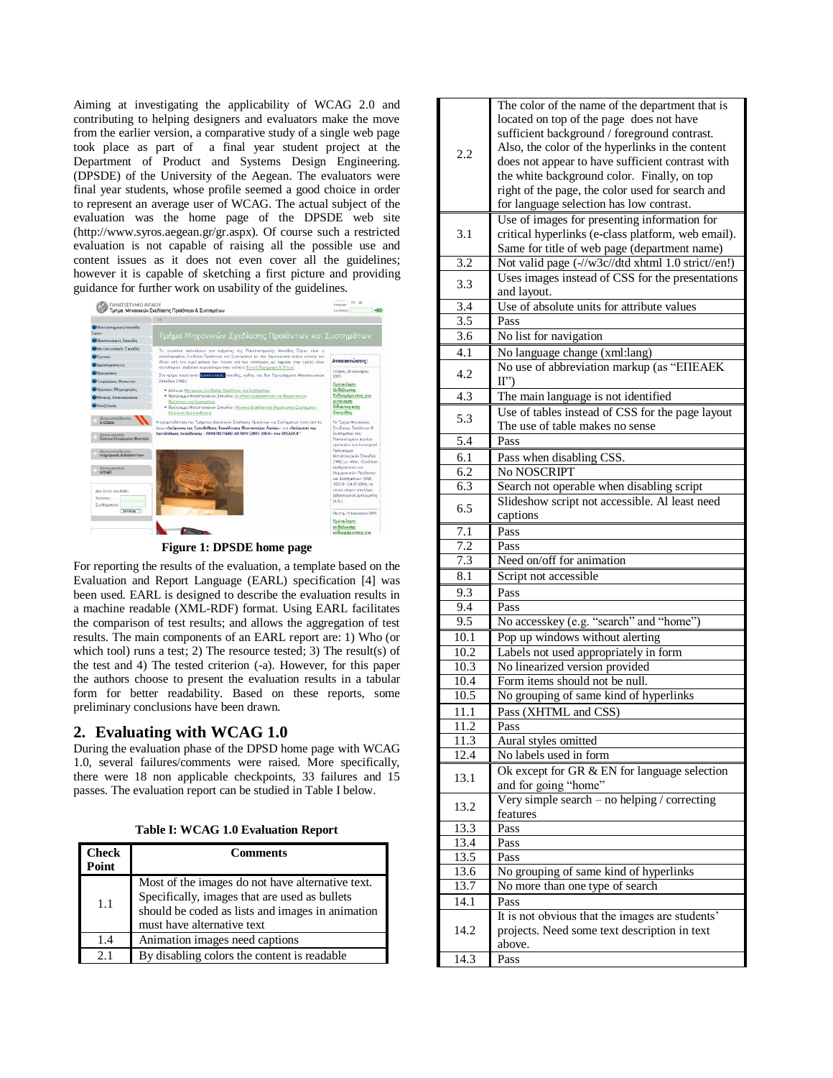Aiming at investigating the applicability of WCAG 2.0 and contributing to helping designers and evaluators make the move from the earlier version, a comparative study of a single web page took place as part of a final year student project at the Department of Product and Systems Design Engineering. (DPSDE) of the University of the Aegean. The evaluators were final year students, whose profile seemed a good choice in order to represent an average user of WCAG. The actual subject of the evaluation was the home page of the DPSDE web site (http://www.syros.aegean.gr/gr.aspx). Of course such a restricted evaluation is not capable of raising all the possible use and content issues as it does not even cover all the guidelines; however it is capable of sketching a first picture and providing guidance for further work on usability of the guidelines.



**Figure 1: DPSDE home page**

For reporting the results of the evaluation, a template based on the Evaluation and Report Language (EARL) specification [4] was been used. EARL is designed to describe the evaluation results in a machine readable (XML-RDF) format. Using EARL facilitates the comparison of test results; and allows the aggregation of test results. The main components of an EARL report are: 1) Who (or which tool) runs a test; 2) The resource tested; 3) The result(s) of the test and 4) The tested criterion (-a). However, for this paper the authors choose to present the evaluation results in a tabular form for better readability. Based on these reports, some preliminary conclusions have been drawn.

## **2. Evaluating with WCAG 1.0**

During the evaluation phase of the DPSD home page with WCAG 1.0, several failures/comments were raised. More specifically, there were 18 non applicable checkpoints, 33 failures and 15 passes. The evaluation report can be studied i[n Table I](#page-1-0) below.

**Table I: WCAG 1.0 Evaluation Report**

<span id="page-1-0"></span>

| <b>Check</b><br>Point | <b>Comments</b>                                                                                                                                                                     |
|-----------------------|-------------------------------------------------------------------------------------------------------------------------------------------------------------------------------------|
| 1.1                   | Most of the images do not have alternative text.<br>Specifically, images that are used as bullets<br>should be coded as lists and images in animation<br>must have alternative text |
| 1.4                   | Animation images need captions                                                                                                                                                      |
| 2.1                   | By disabling colors the content is readable.                                                                                                                                        |

|                  | The color of the name of the department that is    |
|------------------|----------------------------------------------------|
|                  | located on top of the page does not have           |
|                  | sufficient background / foreground contrast.       |
|                  | Also, the color of the hyperlinks in the content   |
| 2.2              | does not appear to have sufficient contrast with   |
|                  | the white background color. Finally, on top        |
|                  | right of the page, the color used for search and   |
|                  |                                                    |
|                  | for language selection has low contrast.           |
|                  | Use of images for presenting information for       |
| 3.1              | critical hyperlinks (e-class platform, web email). |
|                  | Same for title of web page (department name)       |
| 3.2              | Not valid page (-//w3c//dtd xhtml 1.0 strict//en!) |
|                  | Uses images instead of CSS for the presentations   |
| 3.3              | and layout.                                        |
| 3.4              | Use of absolute units for attribute values         |
| 3.5              |                                                    |
|                  | Pass                                               |
| $\overline{3.6}$ | No list for navigation                             |
| 4.1              | No language change (xml:lang)                      |
|                  | No use of abbreviation markup (as "EITEAEK         |
| 4.2              | II'                                                |
| 4.3              | The main language is not identified                |
|                  |                                                    |
| 5.3              | Use of tables instead of CSS for the page layout   |
|                  | The use of table makes no sense                    |
| 5.4              | Pass                                               |
| 6.1              | Pass when disabling CSS.                           |
| 6.2              | No NOSCRIPT                                        |
| 6.3              | Search not operable when disabling script          |
|                  | Slideshow script not accessible. Al least need     |
| 6.5              | captions                                           |
|                  |                                                    |
| 7.1              | Pass                                               |
| 7.2              | Pass                                               |
| 7.3              | Need on/off for animation                          |
| 8.1              | Script not accessible                              |
| 9.3              | Pass                                               |
| 9.4              | Pass                                               |
| 9.5              | No accesskey (e.g. "search" and "home")            |
| 10.1             | Pop up windows without alerting                    |
| 10.2             |                                                    |
|                  | Labels not used appropriately in form              |
| 10.3             | No linearized version provided                     |
| 10.4             | Form items should not be null.                     |
| 10.5             | No grouping of same kind of hyperlinks             |
| 11.1             | Pass (XHTML and CSS)                               |
| 11.2             | Pass                                               |
| 11.3             | Aural styles omitted                               |
| 12.4             | No labels used in form                             |
|                  | Ok except for GR & EN for language selection       |
| 13.1             | and for going "home"                               |
|                  | Very simple search $-$ no helping / correcting     |
| 13.2             |                                                    |
|                  | features                                           |
| 13.3             | Pass                                               |
| 13.4             | Pass                                               |
| 13.5             | Pass                                               |
| 13.6             | No grouping of same kind of hyperlinks             |
| 13.7             | No more than one type of search                    |
| 14.1             | Pass                                               |
|                  | It is not obvious that the images are students'    |
| 14.2             | projects. Need some text description in text       |
|                  |                                                    |
|                  | above.                                             |
| 14.3             | Pass                                               |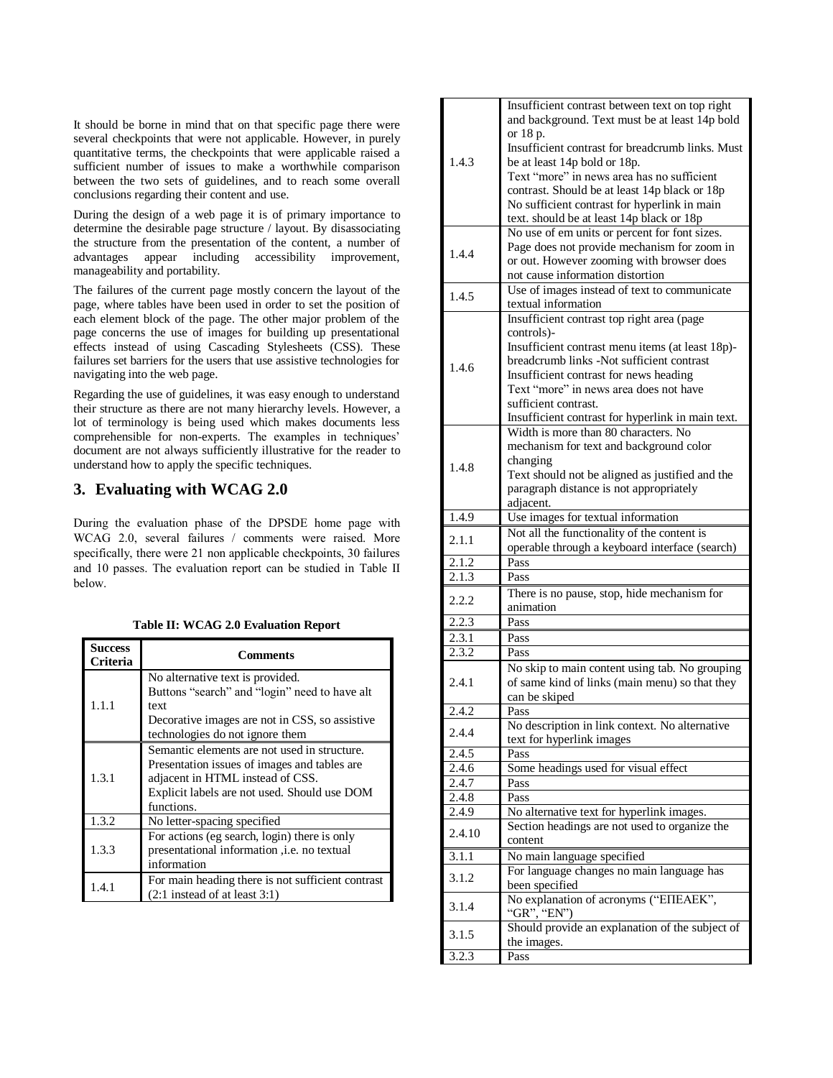It should be borne in mind that on that specific page there were several checkpoints that were not applicable. However, in purely quantitative terms, the checkpoints that were applicable raised a sufficient number of issues to make a worthwhile comparison between the two sets of guidelines, and to reach some overall conclusions regarding their content and use.

During the design of a web page it is of primary importance to determine the desirable page structure / layout. By disassociating the structure from the presentation of the content, a number of advantages appear including accessibility improvement, manageability and portability.

The failures of the current page mostly concern the layout of the page, where tables have been used in order to set the position of each element block of the page. The other major problem of the page concerns the use of images for building up presentational effects instead of using Cascading Stylesheets (CSS). These failures set barriers for the users that use assistive technologies for navigating into the web page.

Regarding the use of guidelines, it was easy enough to understand their structure as there are not many hierarchy levels. However, a lot of terminology is being used which makes documents less comprehensible for non-experts. The examples in techniques' document are not always sufficiently illustrative for the reader to understand how to apply the specific techniques.

## **3. Evaluating with WCAG 2.0**

During the evaluation phase of the DPSDE home page with WCAG 2.0, several failures / comments were raised. More specifically, there were 21 non applicable checkpoints, 30 failures and 10 passes. The evaluation report can be studied in [Table II](#page-2-0) below.

#### **Table II: WCAG 2.0 Evaluation Report**

<span id="page-2-0"></span>

| <b>Success</b><br>Criteria | Comments                                                                          |
|----------------------------|-----------------------------------------------------------------------------------|
| 1.1.1                      | No alternative text is provided.<br>Buttons "search" and "login" need to have alt |
|                            | text                                                                              |
|                            | Decorative images are not in CSS, so assistive<br>technologies do not ignore them |
| 1.3.1                      | Semantic elements are not used in structure.                                      |
|                            | Presentation issues of images and tables are                                      |
|                            | adjacent in HTML instead of CSS.                                                  |
|                            | Explicit labels are not used. Should use DOM                                      |
|                            | functions.                                                                        |
| 1.3.2                      | No letter-spacing specified                                                       |
| 1.3.3                      | For actions (eg search, login) there is only                                      |
|                            | presentational information <i>i.e.</i> no textual                                 |
|                            | information                                                                       |
| 1.4.1                      | For main heading there is not sufficient contrast                                 |
|                            | $(2:1$ instead of at least 3:1)                                                   |

| 1.4.3          | Insufficient contrast between text on top right<br>and background. Text must be at least 14p bold<br>or 18 p.<br>Insufficient contrast for breadcrumb links. Must<br>be at least 14p bold or 18p. |
|----------------|---------------------------------------------------------------------------------------------------------------------------------------------------------------------------------------------------|
|                | Text "more" in news area has no sufficient<br>contrast. Should be at least 14p black or 18p<br>No sufficient contrast for hyperlink in main<br>text. should be at least 14p black or 18p          |
|                | No use of em units or percent for font sizes.                                                                                                                                                     |
| 1.4.4          | Page does not provide mechanism for zoom in<br>or out. However zooming with browser does<br>not cause information distortion                                                                      |
| 1.4.5          | Use of images instead of text to communicate<br>textual information                                                                                                                               |
|                | Insufficient contrast top right area (page                                                                                                                                                        |
|                | controls)-                                                                                                                                                                                        |
|                | Insufficient contrast menu items (at least 18p)-                                                                                                                                                  |
| 1.4.6          | breadcrumb links -Not sufficient contrast                                                                                                                                                         |
|                | Insufficient contrast for news heading                                                                                                                                                            |
|                | Text "more" in news area does not have                                                                                                                                                            |
|                | sufficient contrast.                                                                                                                                                                              |
|                | Insufficient contrast for hyperlink in main text.                                                                                                                                                 |
|                | Width is more than 80 characters. No                                                                                                                                                              |
|                | mechanism for text and background color<br>changing                                                                                                                                               |
| 1.4.8          | Text should not be aligned as justified and the                                                                                                                                                   |
|                | paragraph distance is not appropriately                                                                                                                                                           |
|                | adjacent.                                                                                                                                                                                         |
| 1.4.9          | Use images for textual information                                                                                                                                                                |
|                | Not all the functionality of the content is                                                                                                                                                       |
| 2.1.1          | operable through a keyboard interface (search)                                                                                                                                                    |
| 2.1.2          | Pass                                                                                                                                                                                              |
| 2.1.3          | Pass                                                                                                                                                                                              |
| 2.2.2          | There is no pause, stop, hide mechanism for<br>animation                                                                                                                                          |
|                |                                                                                                                                                                                                   |
| 2.2.3          | Pass                                                                                                                                                                                              |
| 2.3.1          | Pass                                                                                                                                                                                              |
| 2.3.2          | Pass                                                                                                                                                                                              |
| 2.4.1          | No skip to main content using tab. No grouping<br>of same kind of links (main menu) so that they                                                                                                  |
|                | can be skiped                                                                                                                                                                                     |
| 2.4.2<br>2.4.4 | Pass<br>No description in link context. No alternative                                                                                                                                            |
| 2.4.5          | text for hyperlink images<br>Pass                                                                                                                                                                 |
| 2.4.6          | Some headings used for visual effect                                                                                                                                                              |
| 2.4.7          | Pass                                                                                                                                                                                              |
| 2.4.8          | Pass                                                                                                                                                                                              |
| 2.4.9          | No alternative text for hyperlink images.                                                                                                                                                         |
| 2.4.10         | Section headings are not used to organize the<br>content                                                                                                                                          |
| 3.1.1          |                                                                                                                                                                                                   |
|                | No main language specified<br>For language changes no main language has                                                                                                                           |
| 3.1.2          | been specified                                                                                                                                                                                    |
| 3.1.4          | No explanation of acronyms ("EIIEAEK",<br>"GR", "EN")                                                                                                                                             |
|                | Should provide an explanation of the subject of                                                                                                                                                   |
| 3.1.5<br>3.2.3 | the images.                                                                                                                                                                                       |